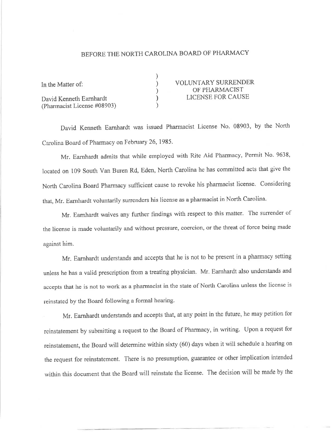## BEFORE THE NORTH CAROLINA BOARD OF PHARMACY

| In the Matter of:                                      | <b>VOLUNTARY SURRENDER</b><br>OF PHARMACIST |
|--------------------------------------------------------|---------------------------------------------|
| David Kenneth Earnhardt<br>(Pharmacist License #08903) | LICENSE FOR CAUSE                           |

David Kenneth Earnhardt was issued Pharmacist License No. 08903, by the North Carolina Board of Pharmacy on February 26, 1985.

Mr. Earnhardt admits that while employed with Rite Aid Pharmacy, Permit No. 9638, located on 109 South Van Buren Rd, Eden, North Carolina he has committed acts that give the North Carolina Board pharmacy sufficicnt cause to revoke his pharmacist license. Considering that, Mr. Earnhardt voluntarily surrenders his license as a pharmacist in North Carolina.

Mr. Earnhardt waives any further findings with respect to this matter. The surrender of the license is made voluntarily and without pressure, coercion, or the threat of force being made against him.

Mr. Eamhardt understands and accepts that he is not to be present in a pharmacy sefting unless he has a valid prescription from a treating physician. Mr. Earnhardt also understands and accepts that he is not to work as a pharmacist in the state of North Carolina unless the license is reinstated by the Board following a formal hearing.

Mr. Earnhardt understands and accepts that, at any point in the future, he may petition for reinstatement by submitting a request to the Board of Pharmacy, in writing. Upon a request for reinstatement, the Board will determine within sixty (60) days when it will schedule a hearing on the request for reinstatement. There is no presumption, guarantee or other implication intended within this document that the Board will reinstate the license. The decision will be made by the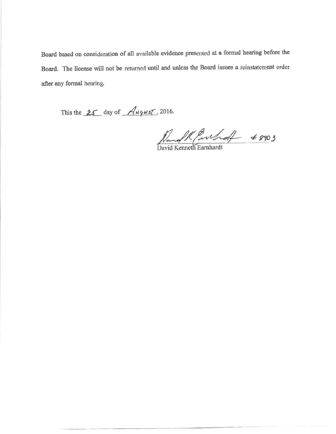Board based on consideration of all available evidence presented at a formal hearing before the Board. The license will not be returned until and unless the Board issues a reinstatement order after any formal hearing.

This the  $25$  day of  $Auyus$ , 2016.

Rang K Purhoff + 8903